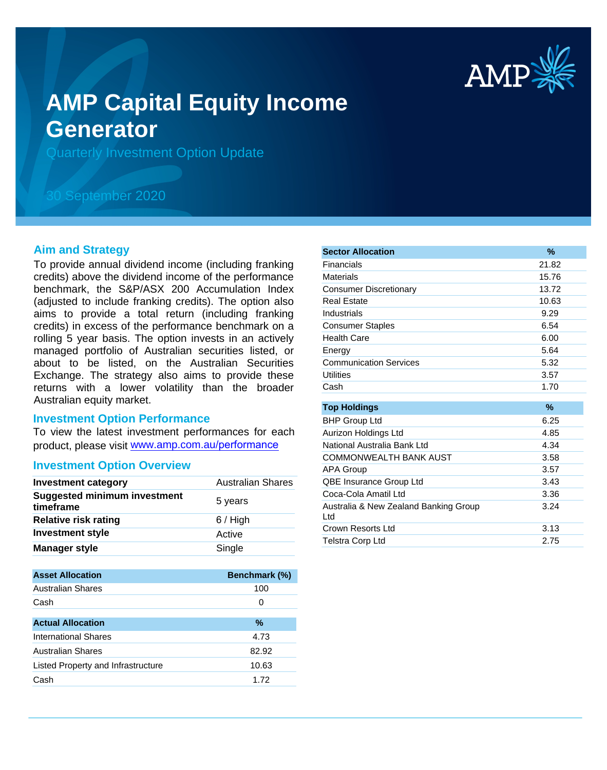

# **AMP Capital Equity Income Generator**

Quarterly Investment Option Update

# 30 September 2020

### **Aim and Strategy**

To provide annual dividend income (including franking credits) above the dividend income of the performance benchmark, the S&P/ASX 200 Accumulation Index (adjusted to include franking credits). The option also aims to provide a total return (including franking credits) in excess of the performance benchmark on a rolling 5 year basis. The option invests in an actively managed portfolio of Australian securities listed, or about to be listed, on the Australian Securities Exchange. The strategy also aims to provide these returns with a lower volatility than the broader Australian equity market.

#### **Investment Option Performance**

To view the latest investment performances for each product, please visit www.amp.com.au/performance

#### **Investment Option Overview**

| <b>Investment category</b>                       | <b>Australian Shares</b> |
|--------------------------------------------------|--------------------------|
| <b>Suggested minimum investment</b><br>timeframe | 5 years                  |
| <b>Relative risk rating</b>                      | $6/$ High                |
| <b>Investment style</b>                          | Active                   |
| <b>Manager style</b>                             | Single                   |

| <b>Asset Allocation</b>            | <b>Benchmark (%)</b> |
|------------------------------------|----------------------|
| Australian Shares                  | 100                  |
| Cash                               | 0                    |
|                                    |                      |
| <b>Actual Allocation</b>           | %                    |
| <b>International Shares</b>        | 4.73                 |
| <b>Australian Shares</b>           | 82.92                |
| Listed Property and Infrastructure | 10.63                |
| Cash                               | 1.72                 |

| <b>Sector Allocation</b>                     | $\%$  |
|----------------------------------------------|-------|
| Financials                                   | 21.82 |
| <b>Materials</b>                             | 15.76 |
| <b>Consumer Discretionary</b>                | 13.72 |
| <b>Real Estate</b>                           | 10.63 |
| Industrials                                  | 9.29  |
| <b>Consumer Staples</b>                      | 6.54  |
| Health Care                                  | 6.00  |
| Energy                                       | 5.64  |
| <b>Communication Services</b>                | 5.32  |
| <b>Utilities</b>                             | 3.57  |
| Cash                                         | 1.70  |
|                                              |       |
| <b>Top Holdings</b>                          | $\%$  |
| <b>BHP Group Ltd</b>                         | 6.25  |
| Aurizon Holdings Ltd                         | 4.85  |
| National Australia Bank Ltd                  | 4.34  |
| <b>COMMONWEALTH BANK AUST</b>                | 3.58  |
| <b>APA Group</b>                             | 3.57  |
| QBE Insurance Group Ltd                      | 3.43  |
| Coca-Cola Amatil Ltd                         | 3.36  |
| Australia & New Zealand Banking Group<br>Ltd | 3.24  |
| Crown Resorts Ltd                            | 3.13  |
| <b>Telstra Corp Ltd</b>                      | 2.75  |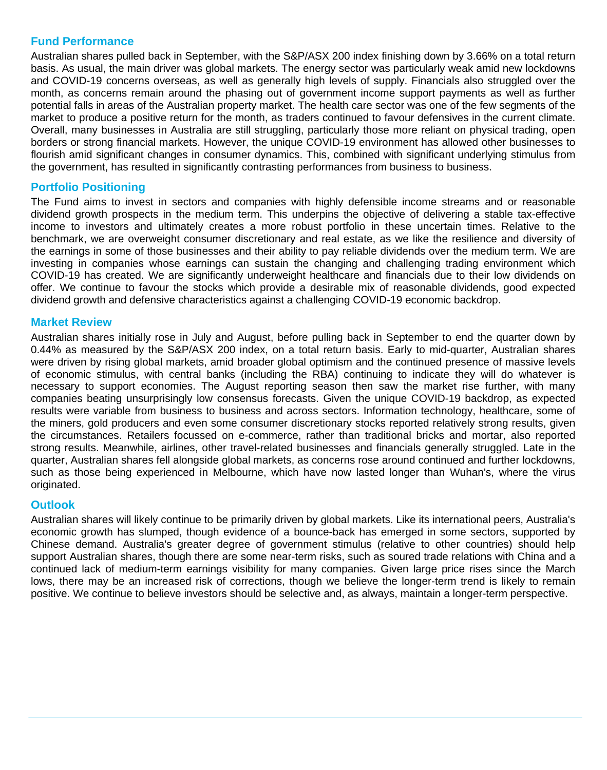# **Fund Performance**

Australian shares pulled back in September, with the S&P/ASX 200 index finishing down by 3.66% on a total return basis. As usual, the main driver was global markets. The energy sector was particularly weak amid new lockdowns and COVID-19 concerns overseas, as well as generally high levels of supply. Financials also struggled over the month, as concerns remain around the phasing out of government income support payments as well as further potential falls in areas of the Australian property market. The health care sector was one of the few segments of the market to produce a positive return for the month, as traders continued to favour defensives in the current climate. Overall, many businesses in Australia are still struggling, particularly those more reliant on physical trading, open borders or strong financial markets. However, the unique COVID-19 environment has allowed other businesses to flourish amid significant changes in consumer dynamics. This, combined with significant underlying stimulus from the government, has resulted in significantly contrasting performances from business to business.

# **Portfolio Positioning**

The Fund aims to invest in sectors and companies with highly defensible income streams and or reasonable dividend growth prospects in the medium term. This underpins the objective of delivering a stable tax-effective income to investors and ultimately creates a more robust portfolio in these uncertain times. Relative to the benchmark, we are overweight consumer discretionary and real estate, as we like the resilience and diversity of the earnings in some of those businesses and their ability to pay reliable dividends over the medium term. We are investing in companies whose earnings can sustain the changing and challenging trading environment which COVID-19 has created. We are significantly underweight healthcare and financials due to their low dividends on offer. We continue to favour the stocks which provide a desirable mix of reasonable dividends, good expected dividend growth and defensive characteristics against a challenging COVID-19 economic backdrop.

# **Market Review**

Australian shares initially rose in July and August, before pulling back in September to end the quarter down by 0.44% as measured by the S&P/ASX 200 index, on a total return basis. Early to mid-quarter, Australian shares were driven by rising global markets, amid broader global optimism and the continued presence of massive levels of economic stimulus, with central banks (including the RBA) continuing to indicate they will do whatever is necessary to support economies. The August reporting season then saw the market rise further, with many companies beating unsurprisingly low consensus forecasts. Given the unique COVID-19 backdrop, as expected results were variable from business to business and across sectors. Information technology, healthcare, some of the miners, gold producers and even some consumer discretionary stocks reported relatively strong results, given the circumstances. Retailers focussed on e-commerce, rather than traditional bricks and mortar, also reported strong results. Meanwhile, airlines, other travel-related businesses and financials generally struggled. Late in the quarter, Australian shares fell alongside global markets, as concerns rose around continued and further lockdowns, such as those being experienced in Melbourne, which have now lasted longer than Wuhan's, where the virus originated.

# **Outlook**

Australian shares will likely continue to be primarily driven by global markets. Like its international peers, Australia's economic growth has slumped, though evidence of a bounce-back has emerged in some sectors, supported by Chinese demand. Australia's greater degree of government stimulus (relative to other countries) should help support Australian shares, though there are some near-term risks, such as soured trade relations with China and a continued lack of medium-term earnings visibility for many companies. Given large price rises since the March lows, there may be an increased risk of corrections, though we believe the longer-term trend is likely to remain positive. We continue to believe investors should be selective and, as always, maintain a longer-term perspective.